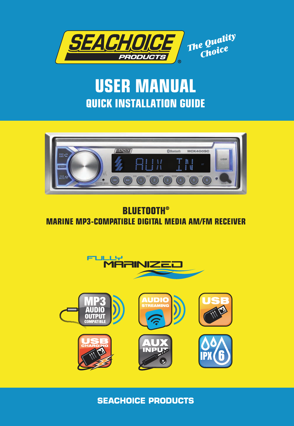

# **USER MANUAL QUICK INSTALLATION GUIDE**



## **BLUETOOTH<sup>®</sup> MARINE MP3-COMPATIBLE DIGITAL MEDIA AM/FM RECEIVER**



**SEACHOICE PRODUCTS**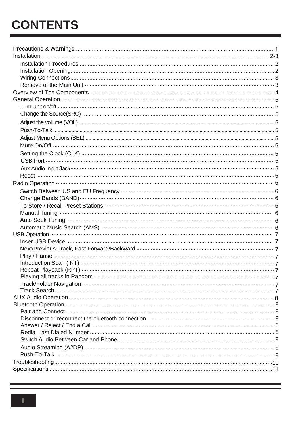# **CONTENTS**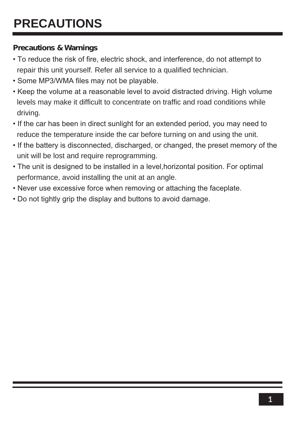# **PRECAUTIONS**

## **Precautions & Warnings**

- To reduce the risk of fire, electric shock, and interference, do not attempt to repair this unit yourself. Refer all service to a qualified technician.
- Some MP3/WMA files may not be playable.
- Keep the volume at a reasonable level to avoid distracted driving. High volume levels may make it difficult to concentrate on traffic and road conditions while driving.
- If the car has been in direct sunlight for an extended period, you may need to reduce the temperature inside the car before turning on and using the unit.
- If the battery is disconnected, discharged, or changed, the preset memory of the unit will be lost and require reprogramming.
- The unit is designed to be installed in a level,horizontal position. For optimal performance, avoid installing the unit at an angle.
- Never use excessive force when removing or attaching the faceplate.
- Do not tightly grip the display and buttons to avoid damage.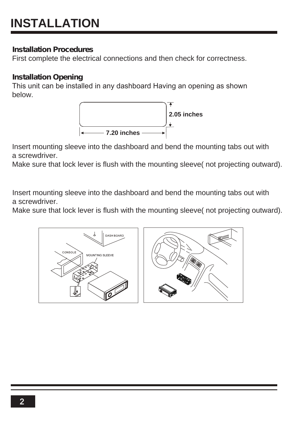# **INSTALLATION**

### **Installation Procedures**

First complete the electrical connections and then check for correctness.

### **Installation Opening**

This unit can be installed in any dashboard Having an opening as shown below.



Insert mounting sleeve into the dashboard and bend the mounting tabs out with a screwdriver.

Make sure that lock lever is flush with the mounting sleeve( not projecting outward).

Insert mounting sleeve into the dashboard and bend the mounting tabs out with a screwdriver.

Make sure that lock lever is flush with the mounting sleeve( not projecting outward).



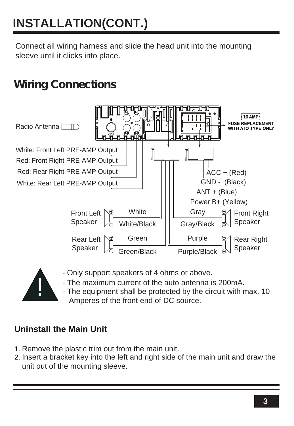# **INSTALLATION(CONT.)**

Connect all wiring harness and slide the head unit into the mounting sleeve until it clicks into place.

## **Wiring Connections**





- Only support speakers of 4 ohms or above.
- The maximum current of the auto antenna is 200mA.
- The equipment shall be protected by the circuit with max. 10 Amperes of the front end of DC source.

## **Uninstall the Main Unit**

- 1. Remove the plastic trim out from the main unit.
- 2. Insert a bracket key into the left and right side of the main unit and draw the unit out of the mounting sleeve.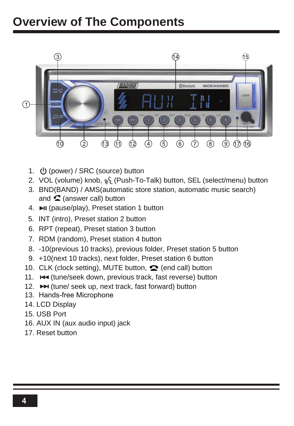## **Overview of The Components**



- 1. (power) / SRC (source) button
- 2. VOL (volume) knob, ર્⊮ર્ (Push-To-Talk) button, SEL (select/menu) button
- 3. BND(BAND) / AMS(automatic store station, automatic music search) and  $\Omega$  (answer call) button
- 4. **►I** (pause/play), Preset station 1 button
- 5. INT (intro), Preset station 2 button
- 6. RPT (repeat), Preset station 3 button
- 7. RDM (random), Preset station 4 button
- 8. -10(previous 10 tracks), previous folder, Preset station 5 button
- 9. +10(next 10 tracks), next folder, Preset station 6 button
- 10. CLK (clock setting), MUTE button, **Q** (end call) button
- 11. H (tune/seek down, previous track, fast reverse) button
- 12. ► (tune/ seek up, next track, fast forward) button
- 13. Hands-free Microphone
- 14. LCD Display
- 15. USB Port
- 16. AUX IN (aux audio input) jack
- 17. Reset button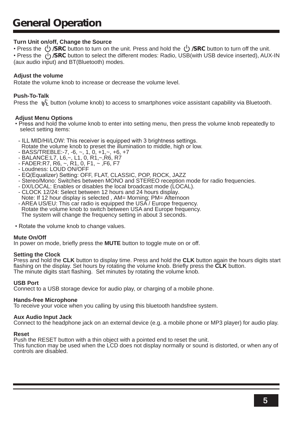## **General Operation**

#### **Turn Unit on/off, Change the Source**

• Press the (<sup>t</sup>) **/SRC** button to turn on the unit. Press and hold the (<sup>t</sup>) **/SRC** button to turn off the unit. • Press the **/SRC** button to select the different modes: Radio, USB(with USB device inserted), AUX-IN (aux audio input) and BT(Bluetooth) modes.

#### **Adjust the volume**

Rotate the volume knob to increase or decrease the volume level.

#### **Push-To-Talk**

Press the  $\mathbb{R}^2$  button (volume knob) to access to smartphones voice assistant capability via Bluetooth.

#### **Adjust Menu Options**

- Press and hold the volume knob to enter into setting menu, then press the volume knob repeatedly to select setting items:
- ILL MID/HI/LOW: This receiver is equipped with 3 brightness settings. Rotate the volume knob to preset the illumination to middle, high or low.
- $-$  BASS/TREBLE:-7, -6,  $\sim$ , 1, 0, +1, $\sim$ , +6, +7
- BALANCE:L7, L6,~, L1, 0, R1,~,R6, R7
- FADER:R7, R6, ~, R1, 0, F1, ~ ,F6, F7
- Loudness: LOUD ON/OFF
- EQ(Equalizer) Setting: OFF, FLAT, CLASSIC, POP, ROCK, JAZZ
- Stereo/Mono: Switches between MONO and STEREO reception mode for radio frequencies.
- DX/LOCAL: Enables or disables the local broadcast mode (LOCAL).
- CLOCK 12/24: Select between 12 hours and 24 hours display. Note: If 12 hour display is selected, AM= Morning; PM= Afternoon
- AREA US/EU: This car radio is equipped the USA / Europe frequency. Rotate the volume knob to switch between USA and Europe frequency. The system will change the frequency setting in about 3 seconds.
- Rotate the volume knob to change values.

#### **Mute On/Off**

In power on mode, briefly press the **MUTE** button to toggle mute on or off.

#### **Setting the Clock**

Press and hold the **CLK** button to display time. Press and hold the **CLK** button again the hours digits start flashing on the display. Set hours by rotating the volume knob. Briefly press the **CLK** button. The minute digits start flashing. Set minutes by rotating the volume knob.

#### **USB Port**

Connect to a USB storage device for audio play, or charging of a mobile phone.

#### **Hands-free Microphone**

To receive your voice when you calling by using this bluetooth handsfree system.

#### **Aux Audio Input Jack**

Connect to the headphone jack on an external device (e.g. a mobile phone or MP3 player) for audio play.

#### **Reset**

Push the RESET button with a thin object with a pointed end to reset the unit.

This function may be used when the LCD does not display normally or sound is distorted, or when any of controls are disabled.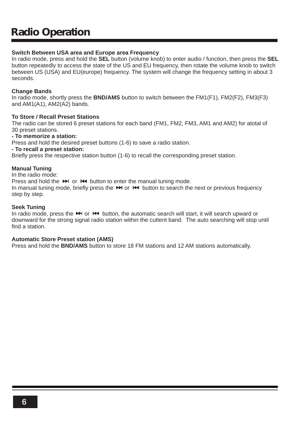#### **Switch Between USA area and Europe area Frequency**

In radio mode, press and hold the **SEL** button (volume knob) to enter audio / function, then press the **SEL** button repeatedly to access the state of the US and EU frequency, then rotate the volume knob to switch between US (USA) and EU(europe) frequency. The system will change the frequency setting in about 3 seconds.

#### **Change Bands**

In radio mode, shortly press the **BND/AMS** button to switch between the FM1(F1), FM2(F2), FM3(F3) and AM1(A1), AM2(A2) bands.

#### **To Store / Recall Preset Stations**

The radio can be stored 6 preset stations for each band (FM1, FM2, FM3, AM1 and AM2) for atotal of 30 preset stations.

#### **- To memorize a station:**

Press and hold the desired preset buttons (1-6) to save a radio station.

#### **- To recall a preset station:**

Briefly press the respective station button (1-6) to recall the corresponding preset station.

#### **Manual Tuning**

In the radio mode:

Press and hold the  $\blacktriangleright$  or  $\blacktriangleright$  button to enter the manual tuning mode.

In manual tuning mode, briefly press the  $\blacktriangleright$  or  $\blacktriangleright$  button to search the next or previous frequency step by step.

#### **Seek Tuning**

In radio mode, press the  $\blacktriangleright$  or  $\blacktriangleright$  dutton, the automatic search will start, it will search upward or downward for the strong signal radio station within the cuttent band. The auto searching will stop until find a station.

#### **Automatic Store Preset station (AMS)**

Press and hold the **BND/AMS** button to store 18 FM stations and 12 AM stations automatically.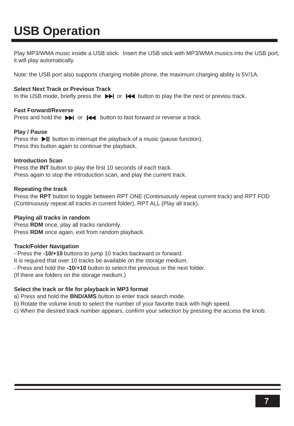# **USB Operation**

Play MP3/WMA music inside a USB stick. Insert the USB stick with MP3/WMA musics into the USB port, it will play automatically.

Note: the USB port also supports charging mobile phone, the maximum charging ability is 5V/1A.

#### **Select Next Track or Previous Track**

In the USB mode, briefly press the  $\blacktriangleright$  or  $\blacktriangleright$  or button to play the the next or previou track.

#### **Fast Forward/Reverse**

Press and hold the  $\blacktriangleright$  or  $\blacktriangleright$  or button to fast forward or reverse a track.

#### **Play / Pause**

Press the  $\blacktriangleright$   $\blacktriangleright$  button to interrupt the playback of a music (pause function). Press this button again to continue the playback.

#### **Introduction Scan**

Press the **INT** button to play the first 10 seconds of each track. Press again to stop the introduction scan, and play the current track.

#### **Repeating the track**

Press the **RPT** button to toggle between RPT ONE (Continuously repeat current track) and RPT FOD (Continuously repeat all tracks in current folder), RPT ALL (Play all track).

#### **Playing all tracks in random**

Press **RDM** once, play all tracks randomly. Press **RDM** once again, exit from random playback.

#### **Track/Folder Navigation**

- Press the **-10/+10** buttons to jump 10 tracks backward or forward. It is required that over 10 tracks be available on the storage medium. - Press and hold the **-10**/**+10** button to select the previous or the next folder. (If there are folders on the storage medium.)

#### **Select the track or file for playback in MP3 format**

a) Press and hold the **BND/AMS** button to enter track search mode.

- b) Rotate the volume knob to select the number of your favorite track with high speed.
- c) When the desired track number appears, confirm your selection by pressing the access the knob.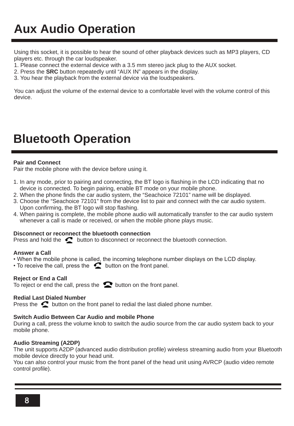# **Aux Audio Operation**

Using this socket, it is possible to hear the sound of other playback devices such as MP3 players, CD players etc. through the car loudspeaker.

- 1. Please connect the external device with a 3.5 mm stereo jack plug to the AUX socket.
- 2. Press the **SRC** button repeatedly until "AUX IN" appears in the display.
- 3. You hear the playback from the external device via the loudspeakers.

You can adjust the volume of the external device to a comfortable level with the volume control of this device.

## **Bluetooth Operation**

#### **Pair and Connect**

Pair the mobile phone with the device before using it.

- 1. In any mode, prior to pairing and connecting, the BT logo is flashing in the LCD indicating that no device is connected. To begin pairing, enable BT mode on your mobile phone.
- 2. When the phone finds the car audio system, the "Seachoice 72101" name will be displayed.
- 3. Choose the "Seachoice 72101" from the device list to pair and connect with the car audio system. Upon confirming, the BT logo will stop flashing.
- 4. When pairing is complete, the mobile phone audio will automatically transfer to the car audio system whenever a call is made or received, or when the mobile phone plays music.

#### **Disconnect or reconnect the bluetooth connection**

Press and hold the  $\heartsuit$  button to disconnect or reconnect the bluetooth connection.

#### **Answer a Call**

- When the mobile phone is called, the incoming telephone number displays on the LCD display.
- $\cdot$  To receive the call, press the  $\leq$  button on the front panel.

#### **Reject or End a Call**

To reject or end the call, press the  $\bullet$  button on the front panel.

#### **Redial Last Dialed Number**

Press the  $\leq$  button on the front panel to redial the last dialed phone number.

#### **Switch Audio Between Car Audio and mobile Phone**

During a call, press the volume knob to switch the audio source from the car audio system back to your mobile phone.

#### **Audio Streaming (A2DP)**

The unit supports A2DP (advanced audio distribution profile) wireless streaming audio from your Bluetooth mobile device directly to your head unit.

You can also control your music from the front panel of the head unit using AVRCP (audio video remote control profile).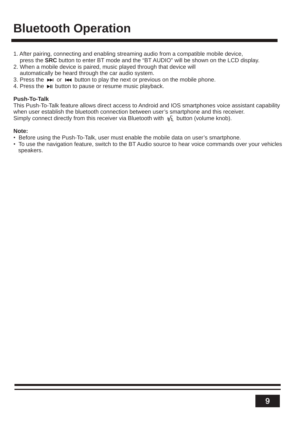- 1. After pairing, connecting and enabling streaming audio from a compatible mobile device, press the **SRC** button to enter BT mode and the "BT AUDIO" will be shown on the LCD display.
- 2. When a mobile device is paired, music played through that device will automatically be heard through the car audio system.
- 3. Press the  $\rightarrow$  or  $H$  button to play the next or previous on the mobile phone.
- 4. Press the  $\blacktriangleright$  button to pause or resume music playback.

#### **Push-To-Talk**

This Push-To-Talk feature allows direct access to Android and IOS smartphones voice assistant capability when user establish the bluetooth connection between user's smartphone and this receiver. Simply connect directly from this receiver via Bluetooth with  $\psi^2$  button (volume knob).

#### **Note:**

- Before using the Push-To-Talk, user must enable the mobile data on user's smartphone.
- To use the navigation feature, switch to the BT Audio source to hear voice commands over your vehicles speakers.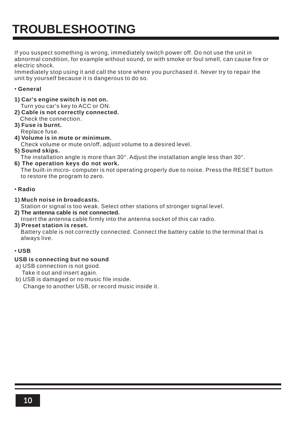# **TROUBLESHOOTING**

If you suspect something is wrong, immediately switch power off. Do not use the unit in abnormal condition, for example without sound, or with smoke or foul smell, can cause fire or electric shock.

Immediately stop using it and call the store where you purchased it. Never try to repair the unit by yourself because it is dangerous to do so.

#### • **General**

- Turn you car's key to ACC or ON. **1) Car's engine switch is not on.**
- Check the connection. **2) Cable is not correctly connected.**
- Replace fuse. **3) Fuse is burnt.**
- **4) Volume is in mute or minimum.**

Check volume or mute on/off, adjust volume to a desired level.

**5) Sound skips.**

The installation angle is more than 30°. Adjust the installation angle less than 30°.

**6) The operation keys do not work.**

The built-in micro- computer is not operating properly due to noise. Press the RESET button to restore the program to zero.

#### • **Radio**

**1) Much noise in broadcasts.**

Station or signal is too weak. Select other stations of stronger signal level.

- Insert the antenna cable firmly into the antenna socket of this car radio. **2) The antenna cable is not connected.**
- **3) Preset station is reset.**

Battery cable is not correctly connected. Connect the battery cable to the terminal that is always live.

#### • **USB**

#### **USB is connecting but no sound**

- a) USB connection is not good.
- Take it out and insert again. b) USB is damaged or no music file inside.

Change to another USB, or record music inside it.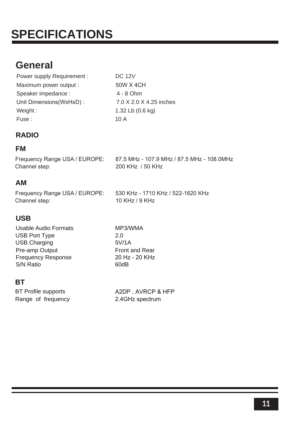# **SPECIFICATIONS**

## **General**

| Power supply Requirement: | <b>DC 12V</b>           |
|---------------------------|-------------------------|
| Maximum power output :    | 50W X 4CH               |
| Speaker impedance :       | 4 - 8 Ohm               |
| Unit Dimensions(WxHxD):   | 7.0 X 2.0 X 4.25 inches |
| Weight:                   | 1.32 Lb (0.6 kg)        |
| Fuse:                     | 10 A                    |

## **RADIO**

### **FM**

| Frequency Range USA / EUROPE: | 87.5 MHz - 107.9 MHz / 87.5 MHz - 108.0MHz |
|-------------------------------|--------------------------------------------|
| Channel step:                 | 200 KHz / 50 KHz                           |

### **AM**

| Frequency Range USA / EUROPE: | 530 KHz - 1710 KHz / 522-1620 KHz |
|-------------------------------|-----------------------------------|
| Channel step:                 | 10 KHz / 9 KHz                    |

### **USB**

## **BT**

BT Profile supports Range of frequency A2DP , AVRCP & HFP 2.4GHz spectrum